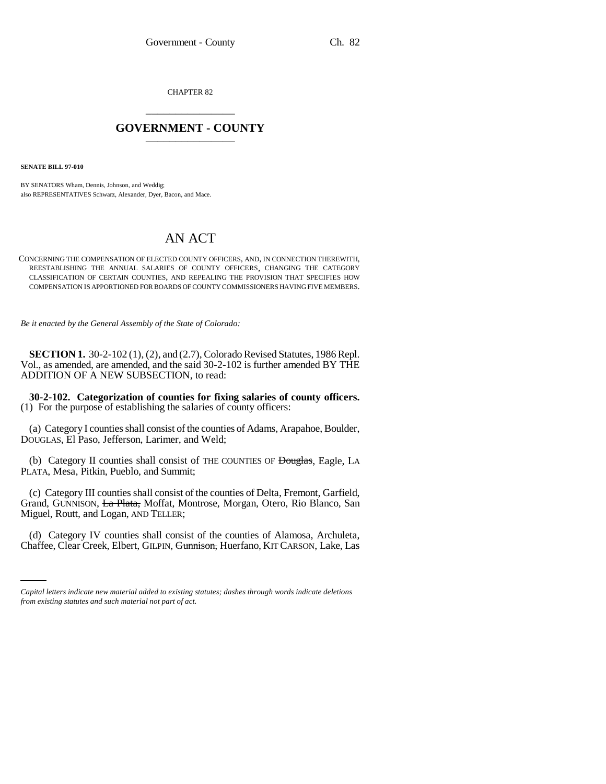CHAPTER 82 \_\_\_\_\_\_\_\_\_\_\_\_\_\_\_

## **GOVERNMENT - COUNTY** \_\_\_\_\_\_\_\_\_\_\_\_\_\_\_

**SENATE BILL 97-010**

BY SENATORS Wham, Dennis, Johnson, and Weddig; also REPRESENTATIVES Schwarz, Alexander, Dyer, Bacon, and Mace.

## AN ACT

CONCERNING THE COMPENSATION OF ELECTED COUNTY OFFICERS, AND, IN CONNECTION THEREWITH, REESTABLISHING THE ANNUAL SALARIES OF COUNTY OFFICERS, CHANGING THE CATEGORY CLASSIFICATION OF CERTAIN COUNTIES, AND REPEALING THE PROVISION THAT SPECIFIES HOW COMPENSATION IS APPORTIONED FOR BOARDS OF COUNTY COMMISSIONERS HAVING FIVE MEMBERS.

*Be it enacted by the General Assembly of the State of Colorado:*

**SECTION 1.** 30-2-102 (1), (2), and (2.7), Colorado Revised Statutes, 1986 Repl. Vol., as amended, are amended, and the said 30-2-102 is further amended BY THE ADDITION OF A NEW SUBSECTION, to read:

**30-2-102. Categorization of counties for fixing salaries of county officers.** (1) For the purpose of establishing the salaries of county officers:

(a) Category I counties shall consist of the counties of Adams, Arapahoe, Boulder, DOUGLAS, El Paso, Jefferson, Larimer, and Weld;

(b) Category II counties shall consist of THE COUNTIES OF Douglas, Eagle, LA PLATA, Mesa, Pitkin, Pueblo, and Summit;

(c) Category III counties shall consist of the counties of Delta, Fremont, Garfield, Grand, GUNNISON, La Plata, Moffat, Montrose, Morgan, Otero, Rio Blanco, San Miguel, Routt, and Logan, AND TELLER;

(d) Category IV counties shall consist of the counties of Alamosa, Archuleta, Chaffee, Clear Creek, Elbert, GILPIN, Gunnison, Huerfano, KIT CARSON, Lake, Las

*Capital letters indicate new material added to existing statutes; dashes through words indicate deletions from existing statutes and such material not part of act.*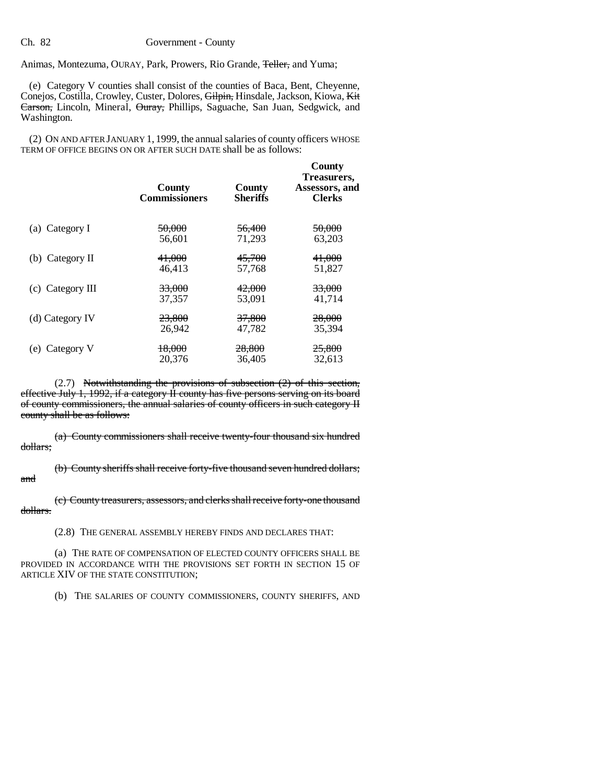Animas, Montezuma, OURAY, Park, Prowers, Rio Grande, <del>Teller,</del> and Yuma;

(e) Category V counties shall consist of the counties of Baca, Bent, Cheyenne, Conejos, Costilla, Crowley, Custer, Dolores, Gilpin, Hinsdale, Jackson, Kiowa, Kit Carson, Lincoln, Mineral, Ouray, Phillips, Saguache, San Juan, Sedgwick, and Washington.

(2) ON AND AFTER JANUARY 1, 1999, the annual salaries of county officers WHOSE TERM OF OFFICE BEGINS ON OR AFTER SUCH DATE shall be as follows:

|                    | County<br><b>Commissioners</b> | County<br>Sheriffs | County<br>Treasurers,<br>Assessors, and<br><b>Clerks</b> |
|--------------------|--------------------------------|--------------------|----------------------------------------------------------|
| (a) Category I     | 50,000                         | 56,400             | 50,000                                                   |
|                    | 56.601                         | 71,293             | 63.203                                                   |
| (b) Category $\Pi$ | 41,000                         | 45,700             | 41,000                                                   |
|                    | 46,413                         | 57,768             | 51,827                                                   |
| $(c)$ Category III | <del>33,000</del>              | 42,000             | <del>33,000</del>                                        |
|                    | 37.357                         | 53.091             | 41,714                                                   |
| (d) Category IV    | 23,800                         | 37,800             | 28,000                                                   |
|                    | 26,942                         | 47,782             | 35,394                                                   |
| (e) Category V     | 18,000                         | <del>28,800</del>  | <del>25,800</del>                                        |
|                    | 20,376                         | 36,405             | 32,613                                                   |

(2.7) Notwithstanding the provisions of subsection (2) of this section, effective July 1, 1992, if a category II county has five persons serving on its board of county commissioners, the annual salaries of county officers in such category II county shall be as follows:

(a) County commissioners shall receive twenty-four thousand six hundred dollars;

(b) County sheriffs shall receive forty-five thousand seven hundred dollars; and

(c) County treasurers, assessors, and clerks shall receive forty-one thousand dollars.

(2.8) THE GENERAL ASSEMBLY HEREBY FINDS AND DECLARES THAT:

(a) THE RATE OF COMPENSATION OF ELECTED COUNTY OFFICERS SHALL BE PROVIDED IN ACCORDANCE WITH THE PROVISIONS SET FORTH IN SECTION 15 OF ARTICLE XIV OF THE STATE CONSTITUTION;

(b) THE SALARIES OF COUNTY COMMISSIONERS, COUNTY SHERIFFS, AND